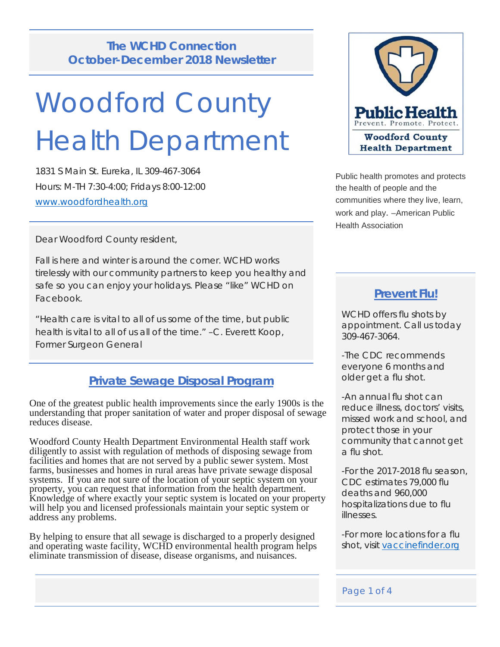# **The WCHD Connection October-December 2018 Newsletter**

# Woodford County Health Department

1831 S Main St. Eureka, IL 309-467-3064 Hours: M-TH 7:30-4:00; Fridays 8:00-12:00 [www.woodfordhealth.org](http://www.woodfordhealth.org/)

Dear Woodford County resident,

Fall is here and winter is around the corner. WCHD works tirelessly with our community partners to keep you healthy and safe so you can enjoy your holidays. Please "like" WCHD on Facebook.

"Health care is vital to all of us some of the time, but public health is vital to all of us all of the time." –C. Everett Koop, Former Surgeon General

# **Private Sewage Disposal Program**

One of the greatest public health improvements since the early 1900s is the understanding that proper sanitation of water and proper disposal of sewage reduces disease.

Woodford County Health Department Environmental Health staff work diligently to assist with regulation of methods of disposing sewage from facilities and homes that are not served by a public sewer system. Most farms, businesses and homes in rural areas have private sewage disposal systems. If you are not sure of the location of your septic system on your property, you can request that information from the health department. Knowledge of where exactly your septic system is located on your property will help you and licensed professionals maintain your septic system or address any problems.

By helping to ensure that all sewage is discharged to a properly designed and operating waste facility, WCHD environmental health program helps eliminate transmission of disease, disease organisms, and nuisances.



Public health promotes and protects the health of people and the communities where they live, learn, work and play. –American Public Health Association

## **Prevent Flu!**

WCHD offers flu shots by appointment. Call us today 309-467-3064.

-The CDC recommends everyone 6 months and older get a flu shot.

-An annual flu shot can reduce illness, doctors' visits, missed work and school, and protect those in your community that cannot get a flu shot.

-For the 2017-2018 flu season, CDC estimates 79,000 flu deaths and 960,000 hospitalizations due to flu illnesses.

-For more locations for a flu shot, visit [vaccinefinder.org](http://www.vaccinefinder.org/)

#### Page 1 of 4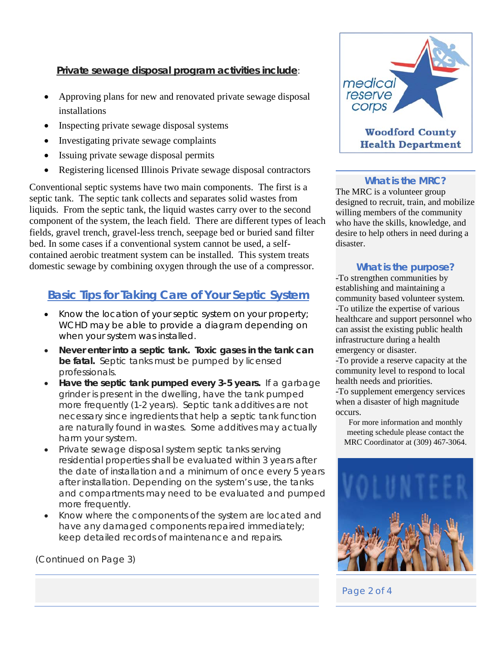### **Private sewage disposal program activities include**:

- Approving plans for new and renovated private sewage disposal installations
- Inspecting private sewage disposal systems
- Investigating private sewage complaints
- Issuing private sewage disposal permits
- Registering licensed Illinois Private sewage disposal contractors

Conventional septic systems have two main components. The first is a septic tank. The septic tank collects and separates solid wastes from liquids. From the septic tank, the liquid wastes carry over to the second component of the system, the leach field. There are different types of leach fields, gravel trench, gravel-less trench, seepage bed or buried sand filter bed. In some cases if a conventional system cannot be used, a selfcontained aerobic treatment system can be installed. This system treats domestic sewage by combining oxygen through the use of a compressor.

# **Basic Tips for Taking Care of Your Septic System**

- Know the location of your septic system on your property; WCHD may be able to provide a diagram depending on when your system was installed.
- **Never enter into a septic tank. Toxic gases in the tank can be fatal.** Septic tanks must be pumped by licensed professionals.
- **Have the septic tank pumped every 3-5 years.** If a garbage grinder is present in the dwelling, have the tank pumped more frequently (1-2 years). Septic tank additives are not necessary since ingredients that help a septic tank function are naturally found in wastes. Some additives may actually harm your system.
- Private sewage disposal system septic tanks serving residential properties shall be evaluated within 3 years after the date of installation and a minimum of once every 5 years after installation. Depending on the system's use, the tanks and compartments may need to be evaluated and pumped more frequently.
- Know where the components of the system are located and have any damaged components repaired immediately; keep detailed records of maintenance and repairs.

(Continued on Page 3)



#### **What is the MRC?**

The MRC is a volunteer group designed to recruit, train, and mobilize willing members of the community who have the skills, knowledge, and desire to help others in need during a disaster.

#### **What is the purpose?**

-To strengthen communities by establishing and maintaining a community based volunteer system. -To utilize the expertise of various healthcare and support personnel who can assist the existing public health infrastructure during a health emergency or disaster.

-To provide a reserve capacity at the community level to respond to local health needs and priorities.

-To supplement emergency services when a disaster of high magnitude occurs.

For more information and monthly meeting schedule please contact the MRC Coordinator at (309) 467-3064.



Page 2 of 4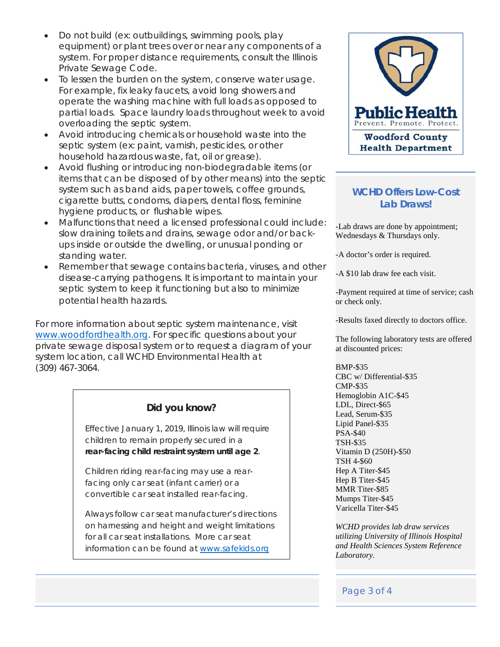- Do not build (ex: outbuildings, swimming pools, play equipment) or plant trees over or near any components of a system. For proper distance requirements, consult the Illinois Private Sewage Code.
- To lessen the burden on the system, conserve water usage. For example, fix leaky faucets, avoid long showers and operate the washing machine with full loads as opposed to partial loads. Space laundry loads throughout week to avoid overloading the septic system.
- Avoid introducing chemicals or household waste into the septic system (ex: paint, varnish, pesticides, or other household hazardous waste, fat, oil or grease).
- Avoid flushing or introducing non-biodegradable items (or items that can be disposed of by other means) into the septic system such as band aids, paper towels, coffee grounds, cigarette butts, condoms, diapers, dental floss, feminine hygiene products, or flushable wipes.
- Malfunctions that need a licensed professional could include: slow draining toilets and drains, sewage odor and/or backups inside or outside the dwelling, or unusual ponding or standing water.
- Remember that sewage contains bacteria, viruses, and other disease-carrying pathogens. It is important to maintain your septic system to keep it functioning but also to minimize potential health hazards.

For more information about septic system maintenance, visit [www.woodfordhealth.org.](http://www.woodfordhealth.org/) For specific questions about your private sewage disposal system or to request a diagram of your system location, call WCHD Environmental Health at (309) 467-3064.

## **Did you know?**

Effective January 1, 2019, Illinois law will require children to remain properly secured in a *rear-facing child restraint system until age 2*.

Children riding rear-facing may use a rearfacing only car seat (infant carrier) or a convertible car seat installed rear-facing.

Always follow car seat manufacturer's directions on harnessing and height and weight limitations for all car seat installations. More car seat information can be found at www.safekids.org



#### **WCHD Offers Low-Cost Lab Draws!**

-Lab draws are done by appointment; Wednesdays & Thursdays only.

-A doctor's order is required.

-A \$10 lab draw fee each visit.

-Payment required at time of service; cash or check only.

-Results faxed directly to doctors office.

The following laboratory tests are offered at discounted prices:

BMP-\$35 CBC w/ Differential-\$35 CMP-\$35 Hemoglobin A1C-\$45 LDL, Direct-\$65 Lead, Serum-\$35 Lipid Panel-\$35 PSA-\$40 TSH-\$35 Vitamin D (250H)-\$50 TSH 4-\$60 Hep A Titer-\$45 Hep B Titer-\$45 MMR Titer-\$85 Mumps Titer-\$45 Varicella Titer-\$45

*WCHD provides lab draw services utilizing University of Illinois Hospital and Health Sciences System Reference Laboratory.* 

#### Page 3 of 4